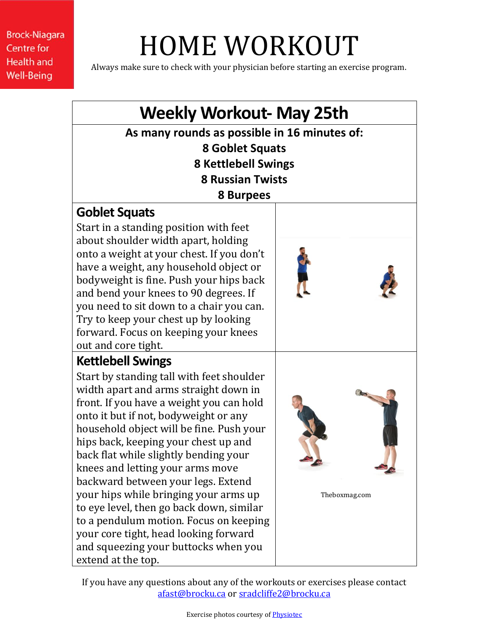# HOME WORKOUT

Always make sure to check with your physician before starting an exercise program.

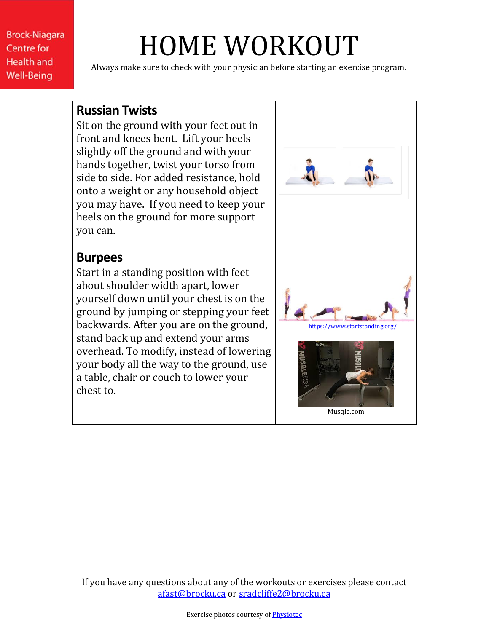# HOME WORKOUT

Always make sure to check with your physician before starting an exercise program.

#### **Russian Twists**

Sit on the ground with your feet out in front and knees bent. Lift your heels slightly off the ground and with your hands together, twist your torso from side to side. For added resistance, hold onto a weight or any household object you may have. If you need to keep your heels on the ground for more support you can.

### **Burpees**

Start in a standing position with feet about shoulder width apart, lower yourself down until your chest is on the ground by jumping or stepping your feet backwards. After you are on the ground, stand back up and extend your arms overhead. To modify, instead of lowering your body all the way to the ground, use a table, chair or couch to lower your chest to.

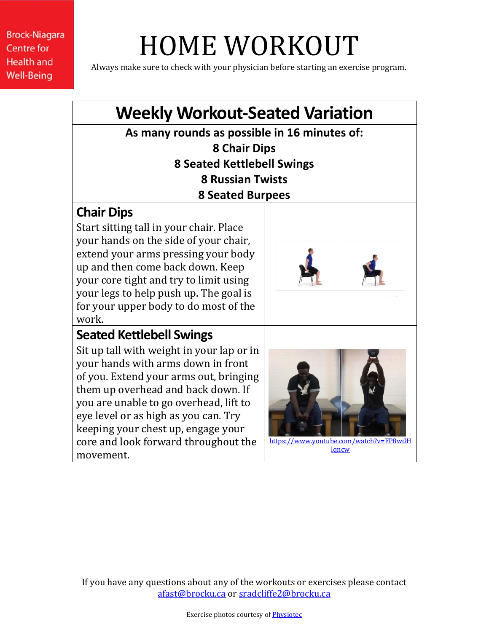# HOME WORKOUT

Always make sure to check with your physician before starting an exercise program.